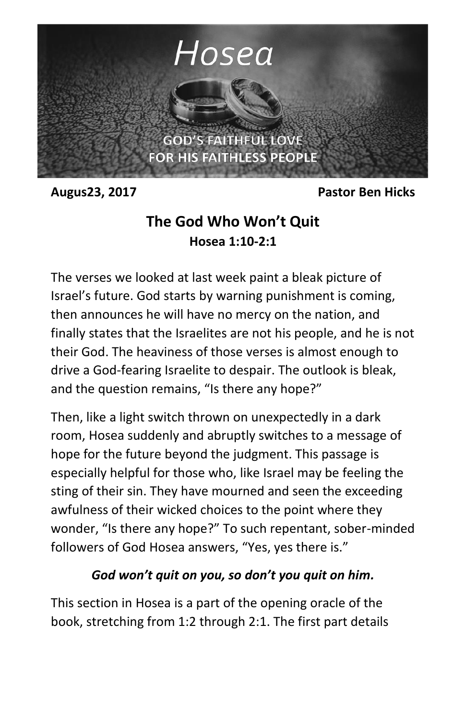

**Augus23, 2017 Pastor Ben Hicks**

# **The God Who Won't Quit Hosea 1:10-2:1**

The verses we looked at last week paint a bleak picture of Israel's future. God starts by warning punishment is coming, then announces he will have no mercy on the nation, and finally states that the Israelites are not his people, and he is not their God. The heaviness of those verses is almost enough to drive a God-fearing Israelite to despair. The outlook is bleak, and the question remains, "Is there any hope?"

Then, like a light switch thrown on unexpectedly in a dark room, Hosea suddenly and abruptly switches to a message of hope for the future beyond the judgment. This passage is especially helpful for those who, like Israel may be feeling the sting of their sin. They have mourned and seen the exceeding awfulness of their wicked choices to the point where they wonder, "Is there any hope?" To such repentant, sober-minded followers of God Hosea answers, "Yes, yes there is."

#### *God won't quit on you, so don't you quit on him.*

This section in Hosea is a part of the opening oracle of the book, stretching from 1:2 through 2:1. The first part details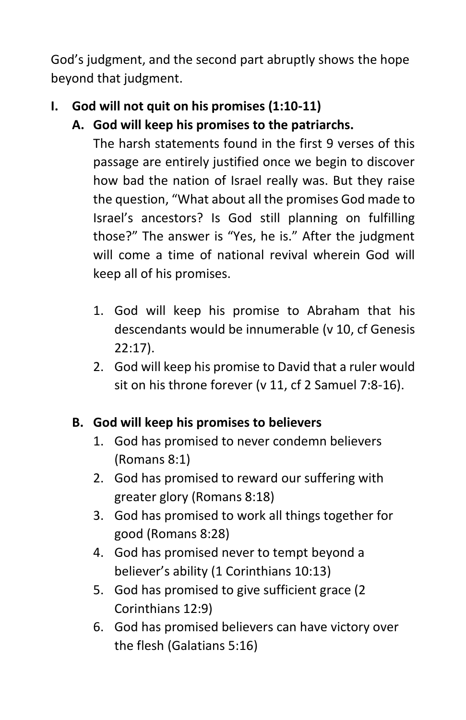God's judgment, and the second part abruptly shows the hope beyond that judgment.

# **I. God will not quit on his promises (1:10-11)**

**A. God will keep his promises to the patriarchs.**

The harsh statements found in the first 9 verses of this passage are entirely justified once we begin to discover how bad the nation of Israel really was. But they raise the question, "What about all the promises God made to Israel's ancestors? Is God still planning on fulfilling those?" The answer is "Yes, he is." After the judgment will come a time of national revival wherein God will keep all of his promises.

- 1. God will keep his promise to Abraham that his descendants would be innumerable (v 10, cf Genesis 22:17).
- 2. God will keep his promise to David that a ruler would sit on his throne forever (v 11, cf 2 Samuel 7:8-16).

# **B. God will keep his promises to believers**

- 1. God has promised to never condemn believers (Romans 8:1)
- 2. God has promised to reward our suffering with greater glory (Romans 8:18)
- 3. God has promised to work all things together for good (Romans 8:28)
- 4. God has promised never to tempt beyond a believer's ability (1 Corinthians 10:13)
- 5. God has promised to give sufficient grace (2 Corinthians 12:9)
- 6. God has promised believers can have victory over the flesh (Galatians 5:16)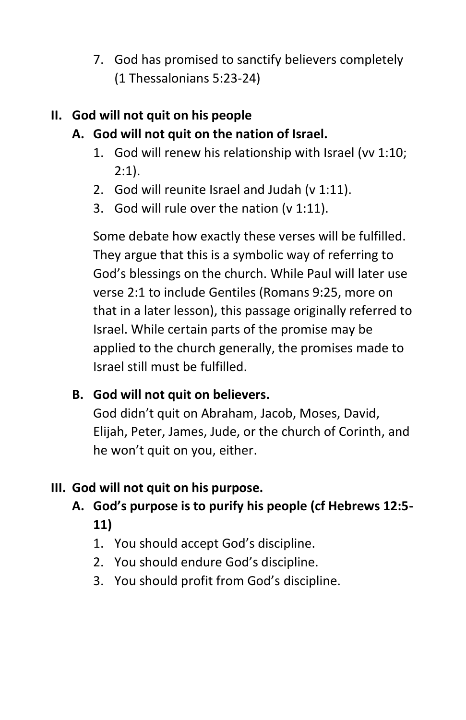7. God has promised to sanctify believers completely (1 Thessalonians 5:23-24)

## **II. God will not quit on his people**

# **A. God will not quit on the nation of Israel.**

- 1. God will renew his relationship with Israel (vv 1:10; 2:1).
- 2. God will reunite Israel and Judah (v 1:11).
- 3. God will rule over the nation (v 1:11).

Some debate how exactly these verses will be fulfilled. They argue that this is a symbolic way of referring to God's blessings on the church. While Paul will later use verse 2:1 to include Gentiles (Romans 9:25, more on that in a later lesson), this passage originally referred to Israel. While certain parts of the promise may be applied to the church generally, the promises made to Israel still must be fulfilled.

#### **B. God will not quit on believers.**

God didn't quit on Abraham, Jacob, Moses, David, Elijah, Peter, James, Jude, or the church of Corinth, and he won't quit on you, either.

# **III. God will not quit on his purpose.**

- **A. God's purpose is to purify his people (cf Hebrews 12:5- 11)**
	- 1. You should accept God's discipline.
	- 2. You should endure God's discipline.
	- 3. You should profit from God's discipline.